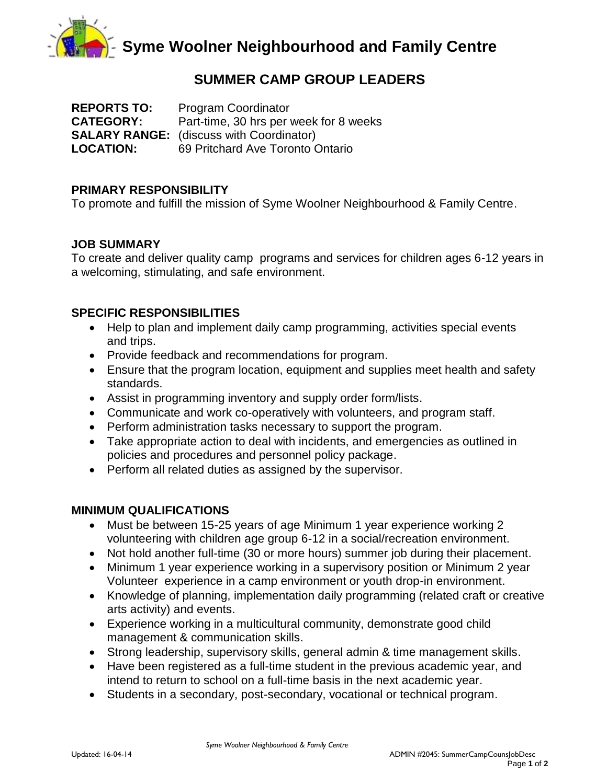

# **SUMMER CAMP GROUP LEADERS**

**REPORTS TO:** Program Coordinator **CATEGORY:** Part-time, 30 hrs per week for 8 weeks **SALARY RANGE:** (discuss with Coordinator) **LOCATION:** 69 Pritchard Ave Toronto Ontario

### **PRIMARY RESPONSIBILITY**

To promote and fulfill the mission of Syme Woolner Neighbourhood & Family Centre.

### **JOB SUMMARY**

To create and deliver quality camp programs and services for children ages 6-12 years in a welcoming, stimulating, and safe environment.

## **SPECIFIC RESPONSIBILITIES**

- Help to plan and implement daily camp programming, activities special events and trips.
- Provide feedback and recommendations for program.
- Ensure that the program location, equipment and supplies meet health and safety standards.
- Assist in programming inventory and supply order form/lists.
- Communicate and work co-operatively with volunteers, and program staff.
- Perform administration tasks necessary to support the program.
- Take appropriate action to deal with incidents, and emergencies as outlined in policies and procedures and personnel policy package.
- Perform all related duties as assigned by the supervisor.

### **MINIMUM QUALIFICATIONS**

- Must be between 15-25 years of age Minimum 1 year experience working 2 volunteering with children age group 6-12 in a social/recreation environment.
- Not hold another full-time (30 or more hours) summer job during their placement.
- Minimum 1 year experience working in a supervisory position or Minimum 2 year Volunteer experience in a camp environment or youth drop-in environment.
- Knowledge of planning, implementation daily programming (related craft or creative arts activity) and events.
- Experience working in a multicultural community, demonstrate good child management & communication skills.
- Strong leadership, supervisory skills, general admin & time management skills.
- Have been registered as a full-time student in the previous academic year, and intend to return to school on a full-time basis in the next academic year.
- Students in a secondary, post-secondary, vocational or technical program.